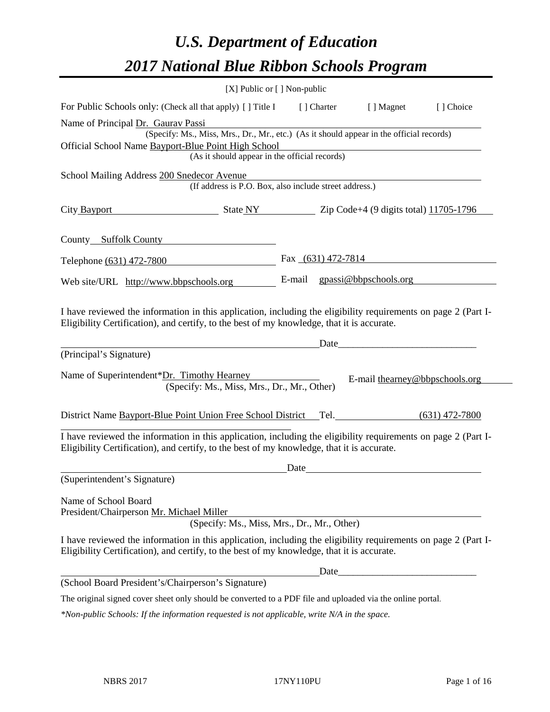# *U.S. Department of Education 2017 National Blue Ribbon Schools Program*

|                                                                                                                                                                                                              | [X] Public or [] Non-public                                                              |      |                                                                                                                                                                                                                                      |           |
|--------------------------------------------------------------------------------------------------------------------------------------------------------------------------------------------------------------|------------------------------------------------------------------------------------------|------|--------------------------------------------------------------------------------------------------------------------------------------------------------------------------------------------------------------------------------------|-----------|
| For Public Schools only: (Check all that apply) [] Title I                                                                                                                                                   |                                                                                          |      | [] Charter [] Magnet                                                                                                                                                                                                                 | [] Choice |
| Name of Principal Dr. Gaurav Passi                                                                                                                                                                           |                                                                                          |      |                                                                                                                                                                                                                                      |           |
|                                                                                                                                                                                                              | (Specify: Ms., Miss, Mrs., Dr., Mr., etc.) (As it should appear in the official records) |      |                                                                                                                                                                                                                                      |           |
| Official School Name Bayport-Blue Point High School                                                                                                                                                          | (As it should appear in the official records)                                            |      |                                                                                                                                                                                                                                      |           |
|                                                                                                                                                                                                              |                                                                                          |      |                                                                                                                                                                                                                                      |           |
| School Mailing Address 200 Snedecor Avenue                                                                                                                                                                   | (If address is P.O. Box, also include street address.)                                   |      |                                                                                                                                                                                                                                      |           |
|                                                                                                                                                                                                              |                                                                                          |      |                                                                                                                                                                                                                                      |           |
| City Bayport                                                                                                                                                                                                 | $\frac{11705-1796}{2}$ State NY $\frac{11705-1796}{2}$                                   |      |                                                                                                                                                                                                                                      |           |
|                                                                                                                                                                                                              |                                                                                          |      |                                                                                                                                                                                                                                      |           |
| County Suffolk County                                                                                                                                                                                        |                                                                                          |      |                                                                                                                                                                                                                                      |           |
| Telephone (631) 472-7800                                                                                                                                                                                     |                                                                                          |      | Fax $(631)$ 472-7814                                                                                                                                                                                                                 |           |
|                                                                                                                                                                                                              |                                                                                          |      |                                                                                                                                                                                                                                      |           |
| Web site/URL http://www.bbpschools.org                                                                                                                                                                       |                                                                                          |      | E-mail gpassi@bbpschools.org                                                                                                                                                                                                         |           |
|                                                                                                                                                                                                              |                                                                                          |      |                                                                                                                                                                                                                                      |           |
| I have reviewed the information in this application, including the eligibility requirements on page 2 (Part I-                                                                                               |                                                                                          |      |                                                                                                                                                                                                                                      |           |
| Eligibility Certification), and certify, to the best of my knowledge, that it is accurate.                                                                                                                   |                                                                                          |      |                                                                                                                                                                                                                                      |           |
|                                                                                                                                                                                                              |                                                                                          |      | Date                                                                                                                                                                                                                                 |           |
| (Principal's Signature)                                                                                                                                                                                      |                                                                                          |      |                                                                                                                                                                                                                                      |           |
|                                                                                                                                                                                                              |                                                                                          |      |                                                                                                                                                                                                                                      |           |
| Name of Superintendent*Dr. Timothy Hearney                                                                                                                                                                   | (Specify: Ms., Miss, Mrs., Dr., Mr., Other)                                              |      | E-mail thearney@bbpschools.org                                                                                                                                                                                                       |           |
|                                                                                                                                                                                                              |                                                                                          |      |                                                                                                                                                                                                                                      |           |
| District Name Bayport-Blue Point Union Free School District Tel. (631) 472-7800                                                                                                                              |                                                                                          |      |                                                                                                                                                                                                                                      |           |
|                                                                                                                                                                                                              |                                                                                          |      |                                                                                                                                                                                                                                      |           |
| I have reviewed the information in this application, including the eligibility requirements on page 2 (Part I-                                                                                               |                                                                                          |      |                                                                                                                                                                                                                                      |           |
| Eligibility Certification), and certify, to the best of my knowledge, that it is accurate.                                                                                                                   |                                                                                          |      |                                                                                                                                                                                                                                      |           |
|                                                                                                                                                                                                              |                                                                                          | Date | <u>and the community of the community of the community of the community of the community of the community of the community of the community of the community of the community of the community of the community of the community</u> |           |
| (Superintendent's Signature)                                                                                                                                                                                 |                                                                                          |      |                                                                                                                                                                                                                                      |           |
| Name of School Board                                                                                                                                                                                         |                                                                                          |      |                                                                                                                                                                                                                                      |           |
| President/Chairperson Mr. Michael Miller                                                                                                                                                                     |                                                                                          |      |                                                                                                                                                                                                                                      |           |
|                                                                                                                                                                                                              | (Specify: Ms., Miss, Mrs., Dr., Mr., Other)                                              |      |                                                                                                                                                                                                                                      |           |
| I have reviewed the information in this application, including the eligibility requirements on page 2 (Part I-<br>Eligibility Certification), and certify, to the best of my knowledge, that it is accurate. |                                                                                          |      |                                                                                                                                                                                                                                      |           |
|                                                                                                                                                                                                              |                                                                                          |      |                                                                                                                                                                                                                                      |           |
| (School Board President's/Chairperson's Signature)                                                                                                                                                           |                                                                                          |      |                                                                                                                                                                                                                                      |           |
| The original signed cover sheet only should be converted to a PDF file and uploaded via the online portal.                                                                                                   |                                                                                          |      |                                                                                                                                                                                                                                      |           |
| *Non-public Schools: If the information requested is not applicable, write N/A in the space.                                                                                                                 |                                                                                          |      |                                                                                                                                                                                                                                      |           |
|                                                                                                                                                                                                              |                                                                                          |      |                                                                                                                                                                                                                                      |           |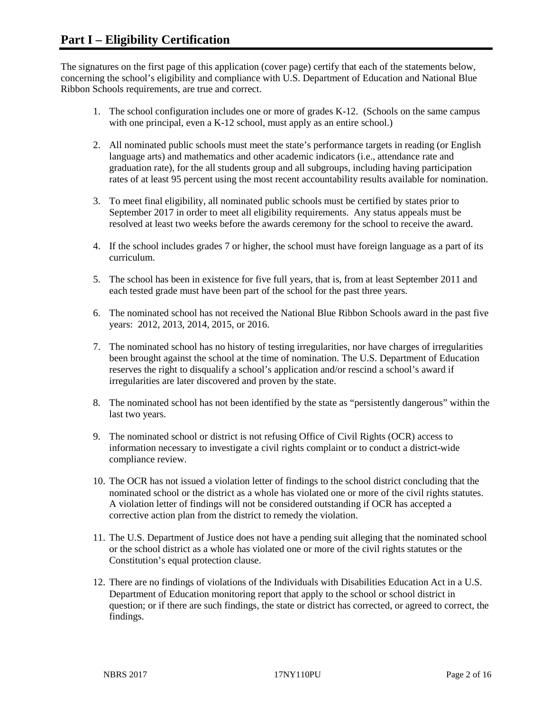The signatures on the first page of this application (cover page) certify that each of the statements below, concerning the school's eligibility and compliance with U.S. Department of Education and National Blue Ribbon Schools requirements, are true and correct.

- 1. The school configuration includes one or more of grades K-12. (Schools on the same campus with one principal, even a K-12 school, must apply as an entire school.)
- 2. All nominated public schools must meet the state's performance targets in reading (or English language arts) and mathematics and other academic indicators (i.e., attendance rate and graduation rate), for the all students group and all subgroups, including having participation rates of at least 95 percent using the most recent accountability results available for nomination.
- 3. To meet final eligibility, all nominated public schools must be certified by states prior to September 2017 in order to meet all eligibility requirements. Any status appeals must be resolved at least two weeks before the awards ceremony for the school to receive the award.
- 4. If the school includes grades 7 or higher, the school must have foreign language as a part of its curriculum.
- 5. The school has been in existence for five full years, that is, from at least September 2011 and each tested grade must have been part of the school for the past three years.
- 6. The nominated school has not received the National Blue Ribbon Schools award in the past five years: 2012, 2013, 2014, 2015, or 2016.
- 7. The nominated school has no history of testing irregularities, nor have charges of irregularities been brought against the school at the time of nomination. The U.S. Department of Education reserves the right to disqualify a school's application and/or rescind a school's award if irregularities are later discovered and proven by the state.
- 8. The nominated school has not been identified by the state as "persistently dangerous" within the last two years.
- 9. The nominated school or district is not refusing Office of Civil Rights (OCR) access to information necessary to investigate a civil rights complaint or to conduct a district-wide compliance review.
- 10. The OCR has not issued a violation letter of findings to the school district concluding that the nominated school or the district as a whole has violated one or more of the civil rights statutes. A violation letter of findings will not be considered outstanding if OCR has accepted a corrective action plan from the district to remedy the violation.
- 11. The U.S. Department of Justice does not have a pending suit alleging that the nominated school or the school district as a whole has violated one or more of the civil rights statutes or the Constitution's equal protection clause.
- 12. There are no findings of violations of the Individuals with Disabilities Education Act in a U.S. Department of Education monitoring report that apply to the school or school district in question; or if there are such findings, the state or district has corrected, or agreed to correct, the findings.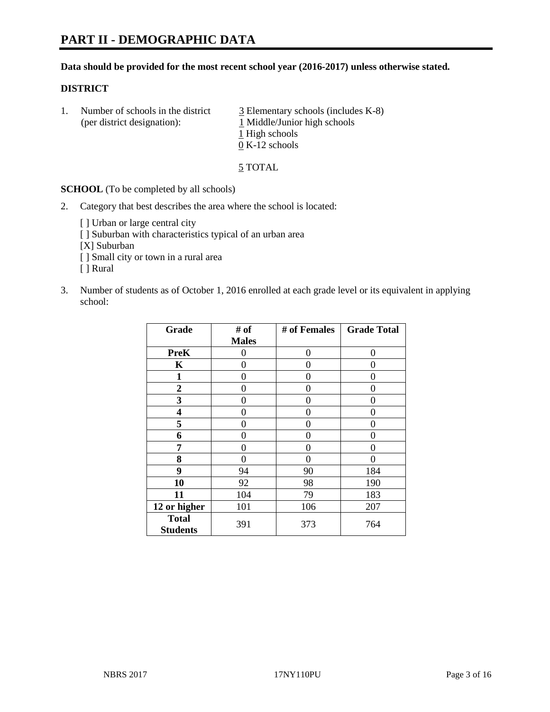## **Data should be provided for the most recent school year (2016-2017) unless otherwise stated.**

# **DISTRICT**

1. Number of schools in the district  $\frac{3}{2}$  Elementary schools (includes K-8) (per district designation): 1 Middle/Junior high schools 1 High schools 0 K-12 schools

5 TOTAL

**SCHOOL** (To be completed by all schools)

- 2. Category that best describes the area where the school is located:
	- [] Urban or large central city [ ] Suburban with characteristics typical of an urban area [X] Suburban [ ] Small city or town in a rural area [ ] Rural
- 3. Number of students as of October 1, 2016 enrolled at each grade level or its equivalent in applying school:

| Grade                           | # of         | # of Females | <b>Grade Total</b> |
|---------------------------------|--------------|--------------|--------------------|
|                                 | <b>Males</b> |              |                    |
| <b>PreK</b>                     | 0            | $\theta$     | 0                  |
| K                               | 0            | 0            | 0                  |
| 1                               | 0            | 0            | 0                  |
| $\boldsymbol{2}$                | 0            | 0            | 0                  |
| 3                               | 0            | 0            | 0                  |
| 4                               | 0            | 0            | 0                  |
| 5                               | 0            | 0            | 0                  |
| 6                               | 0            | 0            | 0                  |
| 7                               | 0            | 0            | 0                  |
| 8                               | 0            | 0            | 0                  |
| 9                               | 94           | 90           | 184                |
| 10                              | 92           | 98           | 190                |
| 11                              | 104          | 79           | 183                |
| 12 or higher                    | 101          | 106          | 207                |
| <b>Total</b><br><b>Students</b> | 391          | 373          | 764                |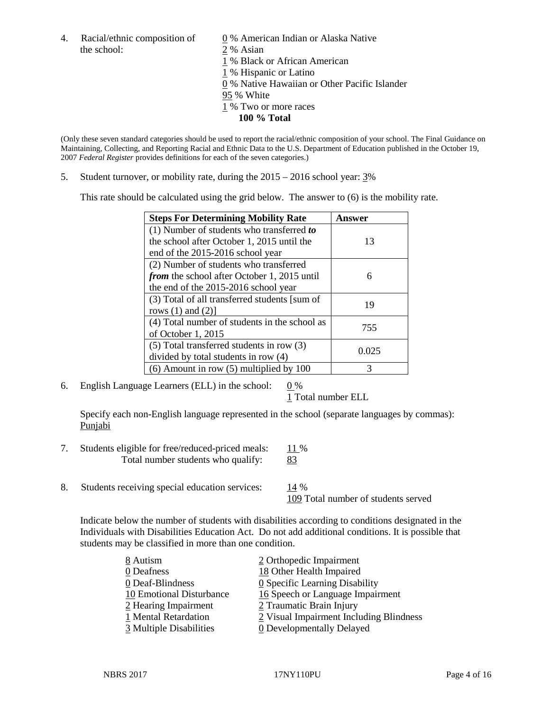the school: 2 % Asian

4. Racial/ethnic composition of  $\qquad \qquad \underline{0}$  % American Indian or Alaska Native % Black or African American % Hispanic or Latino % Native Hawaiian or Other Pacific Islander 95 % White % Two or more races

**100 % Total**

(Only these seven standard categories should be used to report the racial/ethnic composition of your school. The Final Guidance on Maintaining, Collecting, and Reporting Racial and Ethnic Data to the U.S. Department of Education published in the October 19, 2007 *Federal Register* provides definitions for each of the seven categories.)

5. Student turnover, or mobility rate, during the 2015 – 2016 school year: 3%

This rate should be calculated using the grid below. The answer to (6) is the mobility rate.

| <b>Steps For Determining Mobility Rate</b>    | Answer |  |
|-----------------------------------------------|--------|--|
| (1) Number of students who transferred to     |        |  |
| the school after October 1, 2015 until the    | 13     |  |
| end of the 2015-2016 school year              |        |  |
| (2) Number of students who transferred        |        |  |
| from the school after October 1, 2015 until   | 6      |  |
| the end of the 2015-2016 school year          |        |  |
| (3) Total of all transferred students [sum of | 19     |  |
| rows $(1)$ and $(2)$ ]                        |        |  |
| (4) Total number of students in the school as | 755    |  |
| of October 1, 2015                            |        |  |
| (5) Total transferred students in row (3)     |        |  |
| divided by total students in row (4)          | 0.025  |  |
| $(6)$ Amount in row $(5)$ multiplied by 100   | 3      |  |

6. English Language Learners (ELL) in the school:  $0\%$ 

1 Total number ELL

Specify each non-English language represented in the school (separate languages by commas): Punjabi

- 7. Students eligible for free/reduced-priced meals: 11 % Total number students who qualify: 83
- 8. Students receiving special education services: 14 %

109 Total number of students served

Indicate below the number of students with disabilities according to conditions designated in the Individuals with Disabilities Education Act. Do not add additional conditions. It is possible that students may be classified in more than one condition.

| 8 Autism                 | 2 Orthopedic Impairment                      |
|--------------------------|----------------------------------------------|
| 0 Deafness               | 18 Other Health Impaired                     |
| 0 Deaf-Blindness         | $\underline{0}$ Specific Learning Disability |
| 10 Emotional Disturbance | 16 Speech or Language Impairment             |
| 2 Hearing Impairment     | 2 Traumatic Brain Injury                     |
| 1 Mental Retardation     | 2 Visual Impairment Including Blindness      |
| 3 Multiple Disabilities  | <b>0</b> Developmentally Delayed             |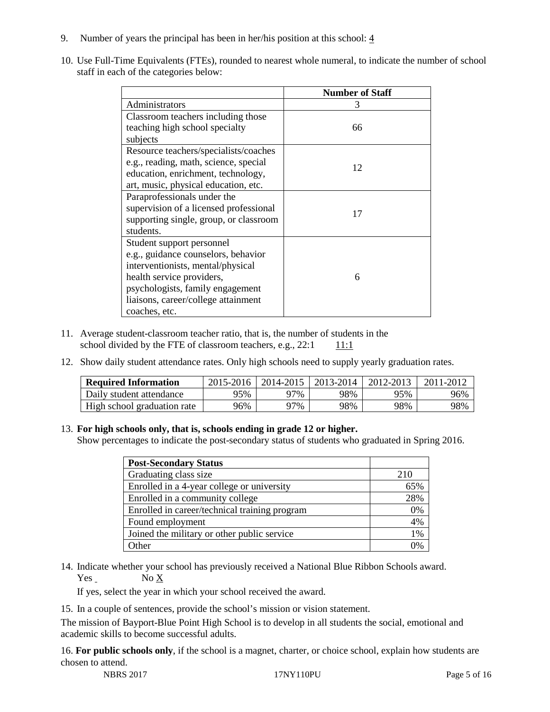- 9. Number of years the principal has been in her/his position at this school:  $\frac{4}{3}$
- 10. Use Full-Time Equivalents (FTEs), rounded to nearest whole numeral, to indicate the number of school staff in each of the categories below:

|                                        | <b>Number of Staff</b> |  |  |
|----------------------------------------|------------------------|--|--|
| Administrators                         | 3                      |  |  |
| Classroom teachers including those     |                        |  |  |
| teaching high school specialty         | 66                     |  |  |
| subjects                               |                        |  |  |
| Resource teachers/specialists/coaches  |                        |  |  |
| e.g., reading, math, science, special  | 12                     |  |  |
| education, enrichment, technology,     |                        |  |  |
| art, music, physical education, etc.   |                        |  |  |
| Paraprofessionals under the            |                        |  |  |
| supervision of a licensed professional | 17                     |  |  |
| supporting single, group, or classroom |                        |  |  |
| students.                              |                        |  |  |
| Student support personnel              |                        |  |  |
| e.g., guidance counselors, behavior    |                        |  |  |
| interventionists, mental/physical      |                        |  |  |
| health service providers,              | 6                      |  |  |
| psychologists, family engagement       |                        |  |  |
| liaisons, career/college attainment    |                        |  |  |
| coaches, etc.                          |                        |  |  |

- 11. Average student-classroom teacher ratio, that is, the number of students in the school divided by the FTE of classroom teachers, e.g.,  $22:1$  11:1
- 12. Show daily student attendance rates. Only high schools need to supply yearly graduation rates.

| <b>Required Information</b> | 2015-2016 | 2014-2015 | 2013-2014 | 2012-2013 | 2011-2012 |
|-----------------------------|-----------|-----------|-----------|-----------|-----------|
| Daily student attendance    | 95%       | 97%       | 98%       | 95%       | 96%       |
| High school graduation rate | 96%       | 97%       | 98%       | 98%       | 98%       |

## 13. **For high schools only, that is, schools ending in grade 12 or higher.**

Show percentages to indicate the post-secondary status of students who graduated in Spring 2016.

| <b>Post-Secondary Status</b>                  |       |
|-----------------------------------------------|-------|
| Graduating class size                         | 210   |
| Enrolled in a 4-year college or university    | 65%   |
| Enrolled in a community college               | 28%   |
| Enrolled in career/technical training program | 0%    |
| Found employment                              | 4%    |
| Joined the military or other public service   | $1\%$ |
| )ther                                         |       |

14. Indicate whether your school has previously received a National Blue Ribbon Schools award. Yes No X

If yes, select the year in which your school received the award.

15. In a couple of sentences, provide the school's mission or vision statement.

The mission of Bayport-Blue Point High School is to develop in all students the social, emotional and academic skills to become successful adults.

16. **For public schools only**, if the school is a magnet, charter, or choice school, explain how students are chosen to attend.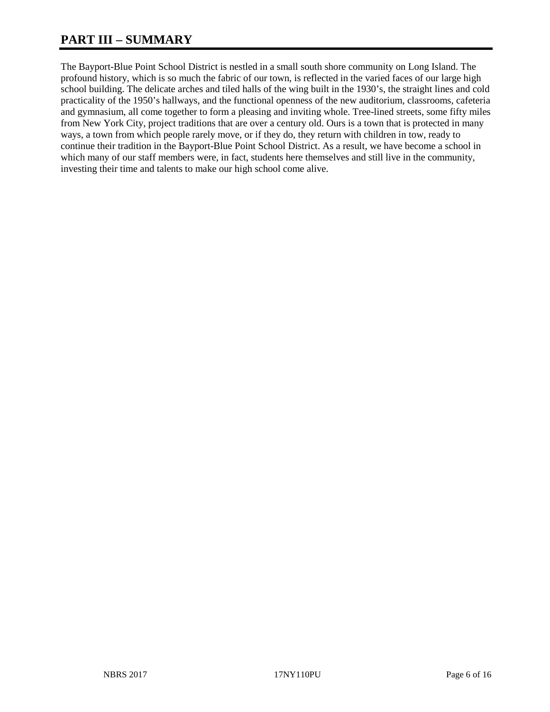# **PART III – SUMMARY**

The Bayport-Blue Point School District is nestled in a small south shore community on Long Island. The profound history, which is so much the fabric of our town, is reflected in the varied faces of our large high school building. The delicate arches and tiled halls of the wing built in the 1930's, the straight lines and cold practicality of the 1950's hallways, and the functional openness of the new auditorium, classrooms, cafeteria and gymnasium, all come together to form a pleasing and inviting whole. Tree-lined streets, some fifty miles from New York City, project traditions that are over a century old. Ours is a town that is protected in many ways, a town from which people rarely move, or if they do, they return with children in tow, ready to continue their tradition in the Bayport-Blue Point School District. As a result, we have become a school in which many of our staff members were, in fact, students here themselves and still live in the community, investing their time and talents to make our high school come alive.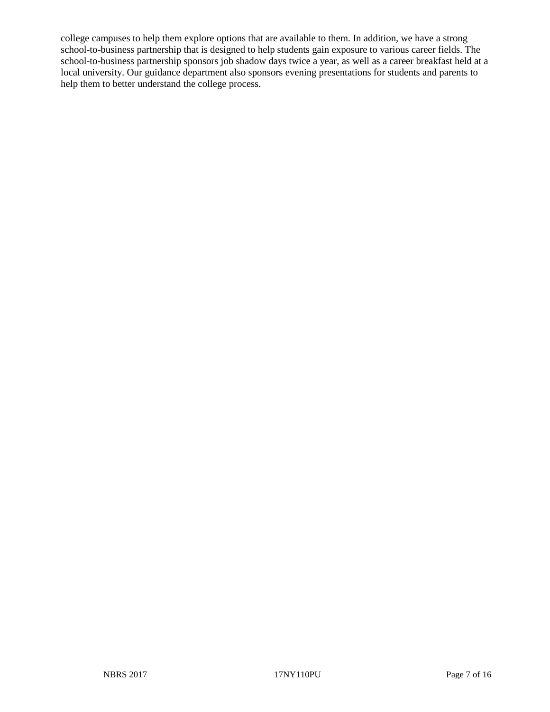college campuses to help them explore options that are available to them. In addition, we have a strong school-to-business partnership that is designed to help students gain exposure to various career fields. The school-to-business partnership sponsors job shadow days twice a year, as well as a career breakfast held at a local university. Our guidance department also sponsors evening presentations for students and parents to help them to better understand the college process.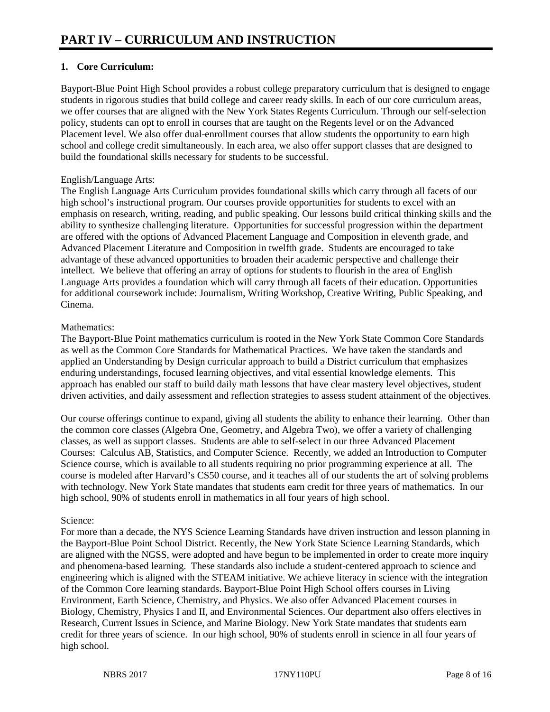# **1. Core Curriculum:**

Bayport-Blue Point High School provides a robust college preparatory curriculum that is designed to engage students in rigorous studies that build college and career ready skills. In each of our core curriculum areas, we offer courses that are aligned with the New York States Regents Curriculum. Through our self-selection policy, students can opt to enroll in courses that are taught on the Regents level or on the Advanced Placement level. We also offer dual-enrollment courses that allow students the opportunity to earn high school and college credit simultaneously. In each area, we also offer support classes that are designed to build the foundational skills necessary for students to be successful.

# English/Language Arts:

The English Language Arts Curriculum provides foundational skills which carry through all facets of our high school's instructional program. Our courses provide opportunities for students to excel with an emphasis on research, writing, reading, and public speaking. Our lessons build critical thinking skills and the ability to synthesize challenging literature. Opportunities for successful progression within the department are offered with the options of Advanced Placement Language and Composition in eleventh grade, and Advanced Placement Literature and Composition in twelfth grade. Students are encouraged to take advantage of these advanced opportunities to broaden their academic perspective and challenge their intellect. We believe that offering an array of options for students to flourish in the area of English Language Arts provides a foundation which will carry through all facets of their education. Opportunities for additional coursework include: Journalism, Writing Workshop, Creative Writing, Public Speaking, and Cinema.

# Mathematics:

The Bayport-Blue Point mathematics curriculum is rooted in the New York State Common Core Standards as well as the Common Core Standards for Mathematical Practices. We have taken the standards and applied an Understanding by Design curricular approach to build a District curriculum that emphasizes enduring understandings, focused learning objectives, and vital essential knowledge elements. This approach has enabled our staff to build daily math lessons that have clear mastery level objectives, student driven activities, and daily assessment and reflection strategies to assess student attainment of the objectives.

Our course offerings continue to expand, giving all students the ability to enhance their learning. Other than the common core classes (Algebra One, Geometry, and Algebra Two), we offer a variety of challenging classes, as well as support classes. Students are able to self-select in our three Advanced Placement Courses: Calculus AB, Statistics, and Computer Science. Recently, we added an Introduction to Computer Science course, which is available to all students requiring no prior programming experience at all. The course is modeled after Harvard's CS50 course, and it teaches all of our students the art of solving problems with technology. New York State mandates that students earn credit for three years of mathematics. In our high school, 90% of students enroll in mathematics in all four years of high school.

# Science:

For more than a decade, the NYS Science Learning Standards have driven instruction and lesson planning in the Bayport-Blue Point School District. Recently, the New York State Science Learning Standards, which are aligned with the NGSS, were adopted and have begun to be implemented in order to create more inquiry and phenomena-based learning. These standards also include a student-centered approach to science and engineering which is aligned with the STEAM initiative. We achieve literacy in science with the integration of the Common Core learning standards. Bayport-Blue Point High School offers courses in Living Environment, Earth Science, Chemistry, and Physics. We also offer Advanced Placement courses in Biology, Chemistry, Physics I and II, and Environmental Sciences. Our department also offers electives in Research, Current Issues in Science, and Marine Biology. New York State mandates that students earn credit for three years of science. In our high school, 90% of students enroll in science in all four years of high school.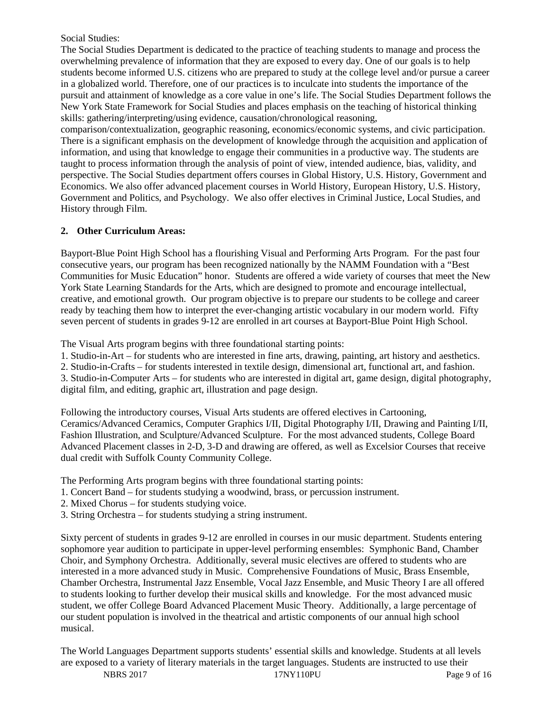Social Studies:

The Social Studies Department is dedicated to the practice of teaching students to manage and process the overwhelming prevalence of information that they are exposed to every day. One of our goals is to help students become informed U.S. citizens who are prepared to study at the college level and/or pursue a career in a globalized world. Therefore, one of our practices is to inculcate into students the importance of the pursuit and attainment of knowledge as a core value in one's life. The Social Studies Department follows the New York State Framework for Social Studies and places emphasis on the teaching of historical thinking skills: gathering/interpreting/using evidence, causation/chronological reasoning,

comparison/contextualization, geographic reasoning, economics/economic systems, and civic participation. There is a significant emphasis on the development of knowledge through the acquisition and application of information, and using that knowledge to engage their communities in a productive way. The students are taught to process information through the analysis of point of view, intended audience, bias, validity, and perspective. The Social Studies department offers courses in Global History, U.S. History, Government and Economics. We also offer advanced placement courses in World History, European History, U.S. History, Government and Politics, and Psychology. We also offer electives in Criminal Justice, Local Studies, and History through Film.

# **2. Other Curriculum Areas:**

Bayport-Blue Point High School has a flourishing Visual and Performing Arts Program. For the past four consecutive years, our program has been recognized nationally by the NAMM Foundation with a "Best Communities for Music Education" honor. Students are offered a wide variety of courses that meet the New York State Learning Standards for the Arts, which are designed to promote and encourage intellectual, creative, and emotional growth. Our program objective is to prepare our students to be college and career ready by teaching them how to interpret the ever-changing artistic vocabulary in our modern world. Fifty seven percent of students in grades 9-12 are enrolled in art courses at Bayport-Blue Point High School.

The Visual Arts program begins with three foundational starting points:

1. Studio-in-Art – for students who are interested in fine arts, drawing, painting, art history and aesthetics.

2. Studio-in-Crafts – for students interested in textile design, dimensional art, functional art, and fashion.

3. Studio-in-Computer Arts – for students who are interested in digital art, game design, digital photography, digital film, and editing, graphic art, illustration and page design.

Following the introductory courses, Visual Arts students are offered electives in Cartooning, Ceramics/Advanced Ceramics, Computer Graphics I/II, Digital Photography I/II, Drawing and Painting I/II, Fashion Illustration, and Sculpture/Advanced Sculpture. For the most advanced students, College Board Advanced Placement classes in 2-D, 3-D and drawing are offered, as well as Excelsior Courses that receive dual credit with Suffolk County Community College.

The Performing Arts program begins with three foundational starting points:

- 1. Concert Band for students studying a woodwind, brass, or percussion instrument.
- 2. Mixed Chorus for students studying voice.
- 3. String Orchestra for students studying a string instrument.

Sixty percent of students in grades 9-12 are enrolled in courses in our music department. Students entering sophomore year audition to participate in upper-level performing ensembles: Symphonic Band, Chamber Choir, and Symphony Orchestra. Additionally, several music electives are offered to students who are interested in a more advanced study in Music. Comprehensive Foundations of Music, Brass Ensemble, Chamber Orchestra, Instrumental Jazz Ensemble, Vocal Jazz Ensemble, and Music Theory I are all offered to students looking to further develop their musical skills and knowledge. For the most advanced music student, we offer College Board Advanced Placement Music Theory. Additionally, a large percentage of our student population is involved in the theatrical and artistic components of our annual high school musical.

The World Languages Department supports students' essential skills and knowledge. Students at all levels are exposed to a variety of literary materials in the target languages. Students are instructed to use their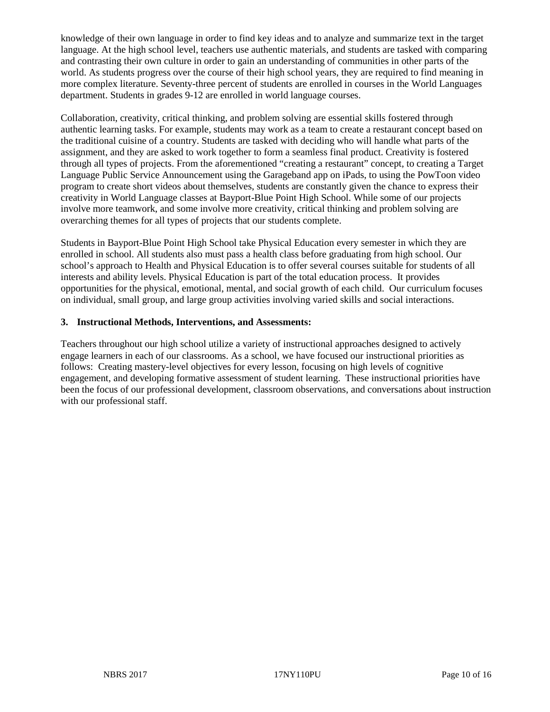knowledge of their own language in order to find key ideas and to analyze and summarize text in the target language. At the high school level, teachers use authentic materials, and students are tasked with comparing and contrasting their own culture in order to gain an understanding of communities in other parts of the world. As students progress over the course of their high school years, they are required to find meaning in more complex literature. Seventy-three percent of students are enrolled in courses in the World Languages department. Students in grades 9-12 are enrolled in world language courses.

Collaboration, creativity, critical thinking, and problem solving are essential skills fostered through authentic learning tasks. For example, students may work as a team to create a restaurant concept based on the traditional cuisine of a country. Students are tasked with deciding who will handle what parts of the assignment, and they are asked to work together to form a seamless final product. Creativity is fostered through all types of projects. From the aforementioned "creating a restaurant" concept, to creating a Target Language Public Service Announcement using the Garageband app on iPads, to using the PowToon video program to create short videos about themselves, students are constantly given the chance to express their creativity in World Language classes at Bayport-Blue Point High School. While some of our projects involve more teamwork, and some involve more creativity, critical thinking and problem solving are overarching themes for all types of projects that our students complete.

Students in Bayport-Blue Point High School take Physical Education every semester in which they are enrolled in school. All students also must pass a health class before graduating from high school. Our school's approach to Health and Physical Education is to offer several courses suitable for students of all interests and ability levels. Physical Education is part of the total education process. It provides opportunities for the physical, emotional, mental, and social growth of each child. Our curriculum focuses on individual, small group, and large group activities involving varied skills and social interactions.

# **3. Instructional Methods, Interventions, and Assessments:**

Teachers throughout our high school utilize a variety of instructional approaches designed to actively engage learners in each of our classrooms. As a school, we have focused our instructional priorities as follows: Creating mastery-level objectives for every lesson, focusing on high levels of cognitive engagement, and developing formative assessment of student learning. These instructional priorities have been the focus of our professional development, classroom observations, and conversations about instruction with our professional staff.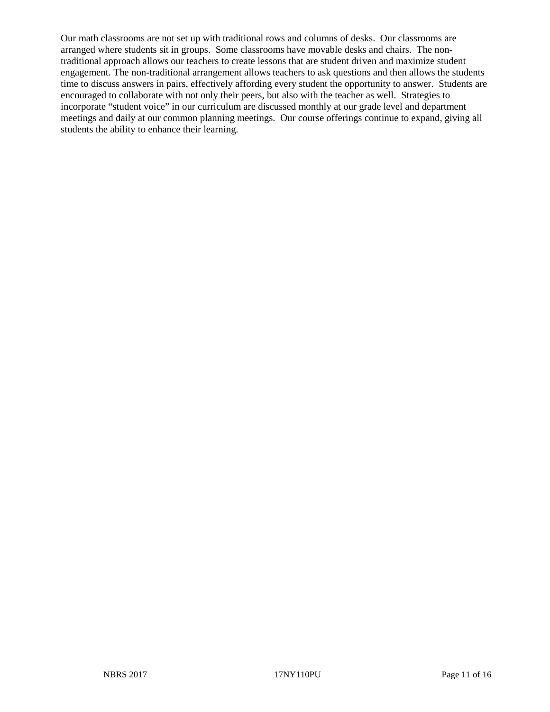Our math classrooms are not set up with traditional rows and columns of desks. Our classrooms are arranged where students sit in groups. Some classrooms have movable desks and chairs. The nontraditional approach allows our teachers to create lessons that are student driven and maximize student engagement. The non-traditional arrangement allows teachers to ask questions and then allows the students time to discuss answers in pairs, effectively affording every student the opportunity to answer. Students are encouraged to collaborate with not only their peers, but also with the teacher as well. Strategies to incorporate "student voice" in our curriculum are discussed monthly at our grade level and department meetings and daily at our common planning meetings. Our course offerings continue to expand, giving all students the ability to enhance their learning.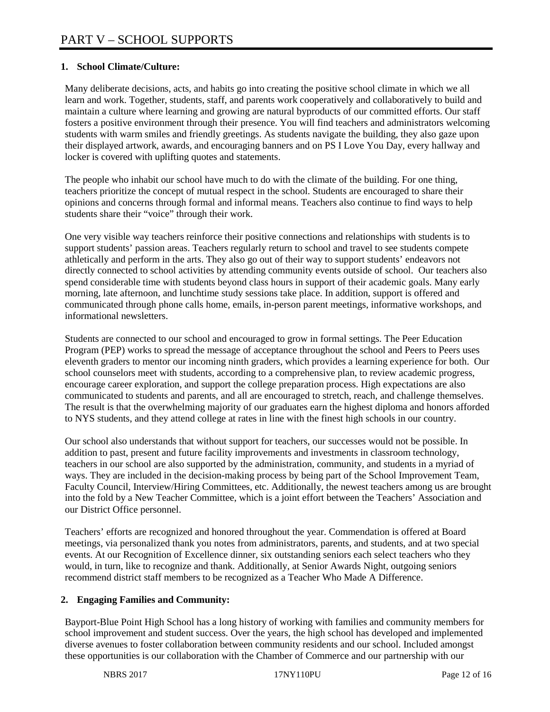# **1. School Climate/Culture:**

Many deliberate decisions, acts, and habits go into creating the positive school climate in which we all learn and work. Together, students, staff, and parents work cooperatively and collaboratively to build and maintain a culture where learning and growing are natural byproducts of our committed efforts. Our staff fosters a positive environment through their presence. You will find teachers and administrators welcoming students with warm smiles and friendly greetings. As students navigate the building, they also gaze upon their displayed artwork, awards, and encouraging banners and on PS I Love You Day, every hallway and locker is covered with uplifting quotes and statements.

The people who inhabit our school have much to do with the climate of the building. For one thing, teachers prioritize the concept of mutual respect in the school. Students are encouraged to share their opinions and concerns through formal and informal means. Teachers also continue to find ways to help students share their "voice" through their work.

One very visible way teachers reinforce their positive connections and relationships with students is to support students' passion areas. Teachers regularly return to school and travel to see students compete athletically and perform in the arts. They also go out of their way to support students' endeavors not directly connected to school activities by attending community events outside of school. Our teachers also spend considerable time with students beyond class hours in support of their academic goals. Many early morning, late afternoon, and lunchtime study sessions take place. In addition, support is offered and communicated through phone calls home, emails, in-person parent meetings, informative workshops, and informational newsletters.

Students are connected to our school and encouraged to grow in formal settings. The Peer Education Program (PEP) works to spread the message of acceptance throughout the school and Peers to Peers uses eleventh graders to mentor our incoming ninth graders, which provides a learning experience for both. Our school counselors meet with students, according to a comprehensive plan, to review academic progress, encourage career exploration, and support the college preparation process. High expectations are also communicated to students and parents, and all are encouraged to stretch, reach, and challenge themselves. The result is that the overwhelming majority of our graduates earn the highest diploma and honors afforded to NYS students, and they attend college at rates in line with the finest high schools in our country.

Our school also understands that without support for teachers, our successes would not be possible. In addition to past, present and future facility improvements and investments in classroom technology, teachers in our school are also supported by the administration, community, and students in a myriad of ways. They are included in the decision-making process by being part of the School Improvement Team, Faculty Council, Interview/Hiring Committees, etc. Additionally, the newest teachers among us are brought into the fold by a New Teacher Committee, which is a joint effort between the Teachers' Association and our District Office personnel.

Teachers' efforts are recognized and honored throughout the year. Commendation is offered at Board meetings, via personalized thank you notes from administrators, parents, and students, and at two special events. At our Recognition of Excellence dinner, six outstanding seniors each select teachers who they would, in turn, like to recognize and thank. Additionally, at Senior Awards Night, outgoing seniors recommend district staff members to be recognized as a Teacher Who Made A Difference.

## **2. Engaging Families and Community:**

Bayport-Blue Point High School has a long history of working with families and community members for school improvement and student success. Over the years, the high school has developed and implemented diverse avenues to foster collaboration between community residents and our school. Included amongst these opportunities is our collaboration with the Chamber of Commerce and our partnership with our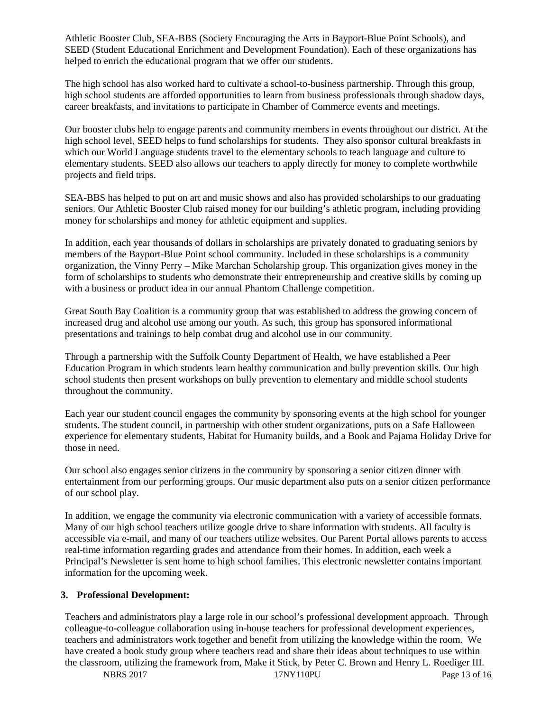Athletic Booster Club, SEA-BBS (Society Encouraging the Arts in Bayport-Blue Point Schools), and SEED (Student Educational Enrichment and Development Foundation). Each of these organizations has helped to enrich the educational program that we offer our students.

The high school has also worked hard to cultivate a school-to-business partnership. Through this group, high school students are afforded opportunities to learn from business professionals through shadow days, career breakfasts, and invitations to participate in Chamber of Commerce events and meetings.

Our booster clubs help to engage parents and community members in events throughout our district. At the high school level, SEED helps to fund scholarships for students. They also sponsor cultural breakfasts in which our World Language students travel to the elementary schools to teach language and culture to elementary students. SEED also allows our teachers to apply directly for money to complete worthwhile projects and field trips.

SEA-BBS has helped to put on art and music shows and also has provided scholarships to our graduating seniors. Our Athletic Booster Club raised money for our building's athletic program, including providing money for scholarships and money for athletic equipment and supplies.

In addition, each year thousands of dollars in scholarships are privately donated to graduating seniors by members of the Bayport-Blue Point school community. Included in these scholarships is a community organization, the Vinny Perry – Mike Marchan Scholarship group. This organization gives money in the form of scholarships to students who demonstrate their entrepreneurship and creative skills by coming up with a business or product idea in our annual Phantom Challenge competition.

Great South Bay Coalition is a community group that was established to address the growing concern of increased drug and alcohol use among our youth. As such, this group has sponsored informational presentations and trainings to help combat drug and alcohol use in our community.

Through a partnership with the Suffolk County Department of Health, we have established a Peer Education Program in which students learn healthy communication and bully prevention skills. Our high school students then present workshops on bully prevention to elementary and middle school students throughout the community.

Each year our student council engages the community by sponsoring events at the high school for younger students. The student council, in partnership with other student organizations, puts on a Safe Halloween experience for elementary students, Habitat for Humanity builds, and a Book and Pajama Holiday Drive for those in need.

Our school also engages senior citizens in the community by sponsoring a senior citizen dinner with entertainment from our performing groups. Our music department also puts on a senior citizen performance of our school play.

In addition, we engage the community via electronic communication with a variety of accessible formats. Many of our high school teachers utilize google drive to share information with students. All faculty is accessible via e-mail, and many of our teachers utilize websites. Our Parent Portal allows parents to access real-time information regarding grades and attendance from their homes. In addition, each week a Principal's Newsletter is sent home to high school families. This electronic newsletter contains important information for the upcoming week.

## **3. Professional Development:**

Teachers and administrators play a large role in our school's professional development approach. Through colleague-to-colleague collaboration using in-house teachers for professional development experiences, teachers and administrators work together and benefit from utilizing the knowledge within the room. We have created a book study group where teachers read and share their ideas about techniques to use within the classroom, utilizing the framework from, Make it Stick, by Peter C. Brown and Henry L. Roediger III.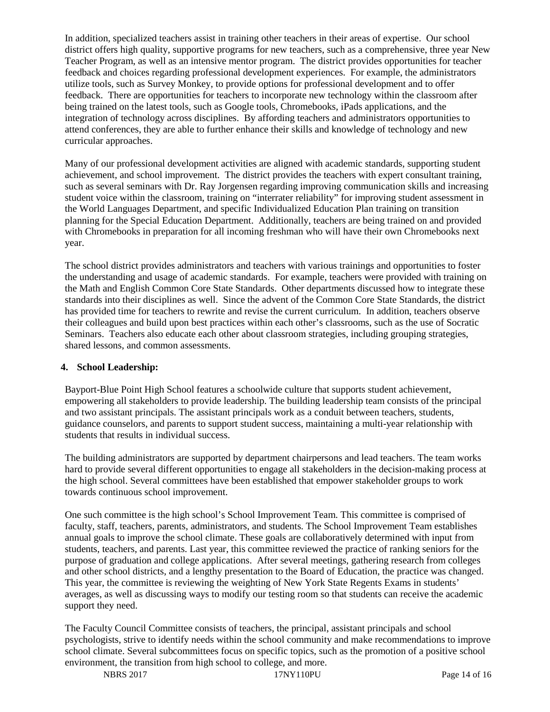In addition, specialized teachers assist in training other teachers in their areas of expertise. Our school district offers high quality, supportive programs for new teachers, such as a comprehensive, three year New Teacher Program, as well as an intensive mentor program. The district provides opportunities for teacher feedback and choices regarding professional development experiences. For example, the administrators utilize tools, such as Survey Monkey, to provide options for professional development and to offer feedback. There are opportunities for teachers to incorporate new technology within the classroom after being trained on the latest tools, such as Google tools, Chromebooks, iPads applications, and the integration of technology across disciplines. By affording teachers and administrators opportunities to attend conferences, they are able to further enhance their skills and knowledge of technology and new curricular approaches.

Many of our professional development activities are aligned with academic standards, supporting student achievement, and school improvement. The district provides the teachers with expert consultant training, such as several seminars with Dr. Ray Jorgensen regarding improving communication skills and increasing student voice within the classroom, training on "interrater reliability" for improving student assessment in the World Languages Department, and specific Individualized Education Plan training on transition planning for the Special Education Department. Additionally, teachers are being trained on and provided with Chromebooks in preparation for all incoming freshman who will have their own Chromebooks next year.

The school district provides administrators and teachers with various trainings and opportunities to foster the understanding and usage of academic standards. For example, teachers were provided with training on the Math and English Common Core State Standards. Other departments discussed how to integrate these standards into their disciplines as well. Since the advent of the Common Core State Standards, the district has provided time for teachers to rewrite and revise the current curriculum. In addition, teachers observe their colleagues and build upon best practices within each other's classrooms, such as the use of Socratic Seminars. Teachers also educate each other about classroom strategies, including grouping strategies, shared lessons, and common assessments.

## **4. School Leadership:**

Bayport-Blue Point High School features a schoolwide culture that supports student achievement, empowering all stakeholders to provide leadership. The building leadership team consists of the principal and two assistant principals. The assistant principals work as a conduit between teachers, students, guidance counselors, and parents to support student success, maintaining a multi-year relationship with students that results in individual success.

The building administrators are supported by department chairpersons and lead teachers. The team works hard to provide several different opportunities to engage all stakeholders in the decision-making process at the high school. Several committees have been established that empower stakeholder groups to work towards continuous school improvement.

One such committee is the high school's School Improvement Team. This committee is comprised of faculty, staff, teachers, parents, administrators, and students. The School Improvement Team establishes annual goals to improve the school climate. These goals are collaboratively determined with input from students, teachers, and parents. Last year, this committee reviewed the practice of ranking seniors for the purpose of graduation and college applications. After several meetings, gathering research from colleges and other school districts, and a lengthy presentation to the Board of Education, the practice was changed. This year, the committee is reviewing the weighting of New York State Regents Exams in students' averages, as well as discussing ways to modify our testing room so that students can receive the academic support they need.

The Faculty Council Committee consists of teachers, the principal, assistant principals and school psychologists, strive to identify needs within the school community and make recommendations to improve school climate. Several subcommittees focus on specific topics, such as the promotion of a positive school environment, the transition from high school to college, and more.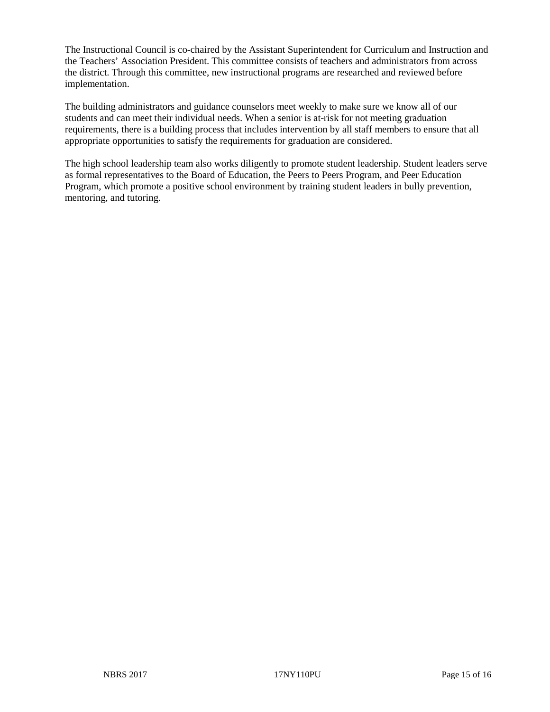The Instructional Council is co-chaired by the Assistant Superintendent for Curriculum and Instruction and the Teachers' Association President. This committee consists of teachers and administrators from across the district. Through this committee, new instructional programs are researched and reviewed before implementation.

The building administrators and guidance counselors meet weekly to make sure we know all of our students and can meet their individual needs. When a senior is at-risk for not meeting graduation requirements, there is a building process that includes intervention by all staff members to ensure that all appropriate opportunities to satisfy the requirements for graduation are considered.

The high school leadership team also works diligently to promote student leadership. Student leaders serve as formal representatives to the Board of Education, the Peers to Peers Program, and Peer Education Program, which promote a positive school environment by training student leaders in bully prevention, mentoring, and tutoring.